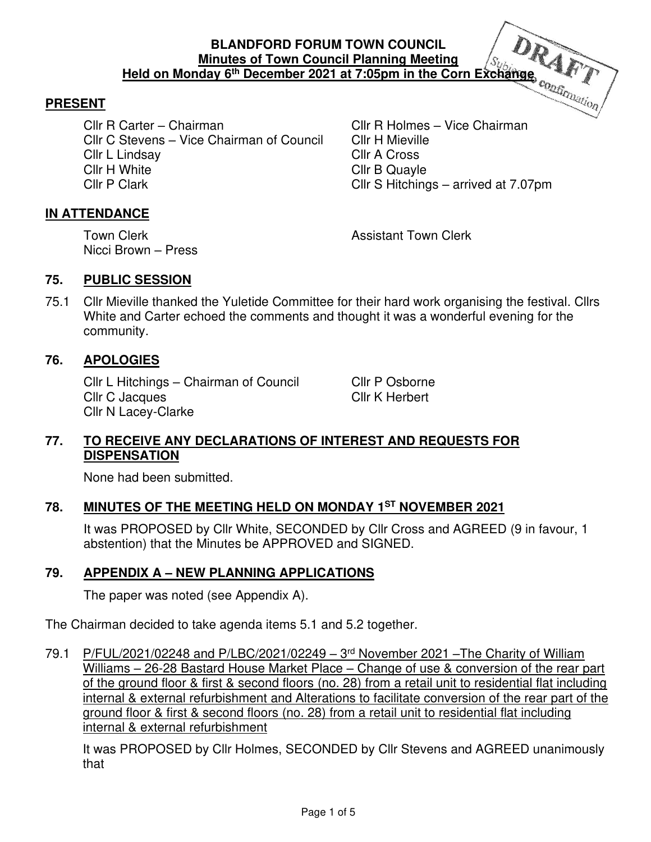#### **BLANDFORD FORUM TOWN COUNCIL Minutes of Town Council Planning Meeting Held on Monday 6th December 2021 at 7:05pm in the Corn Exchange**

#### **PRESENT**

Cllr R Carter – Chairman Cllr R Holmes – Vice Chairman Cllr C Stevens – Vice Chairman of Council Cllr H Mieville Cllr L Lindsay Cllr A Cross Cllr H White Cllr B Quayle Cllr P Clark Cllr S Hitchings – arrived at 7.07pm

#### **IN ATTENDANCE**

Nicci Brown – Press

Town Clerk **Town Clerk Assistant Town Clerk** 

#### **75. PUBLIC SESSION**

75.1 Cllr Mieville thanked the Yuletide Committee for their hard work organising the festival. Cllrs White and Carter echoed the comments and thought it was a wonderful evening for the community.

#### **76. APOLOGIES**

Cllr L Hitchings – Chairman of Council Cllr P Osborne Cllr C Jacques Cllr K Herbert Cllr N Lacey-Clarke

#### **77. TO RECEIVE ANY DECLARATIONS OF INTEREST AND REQUESTS FOR DISPENSATION**

None had been submitted.

# **78. MINUTES OF THE MEETING HELD ON MONDAY 1ST NOVEMBER 2021**

It was PROPOSED by Cllr White, SECONDED by Cllr Cross and AGREED (9 in favour, 1 abstention) that the Minutes be APPROVED and SIGNED.

#### **79. APPENDIX A – NEW PLANNING APPLICATIONS**

The paper was noted (see Appendix A).

The Chairman decided to take agenda items 5.1 and 5.2 together.

79.1 P/FUL/2021/02248 and P/LBC/2021/02249 - 3<sup>rd</sup> November 2021 - The Charity of William Williams – 26-28 Bastard House Market Place – Change of use & conversion of the rear part of the ground floor & first & second floors (no. 28) from a retail unit to residential flat including internal & external refurbishment and Alterations to facilitate conversion of the rear part of the ground floor & first & second floors (no. 28) from a retail unit to residential flat including internal & external refurbishment

It was PROPOSED by Cllr Holmes, SECONDED by Cllr Stevens and AGREED unanimously that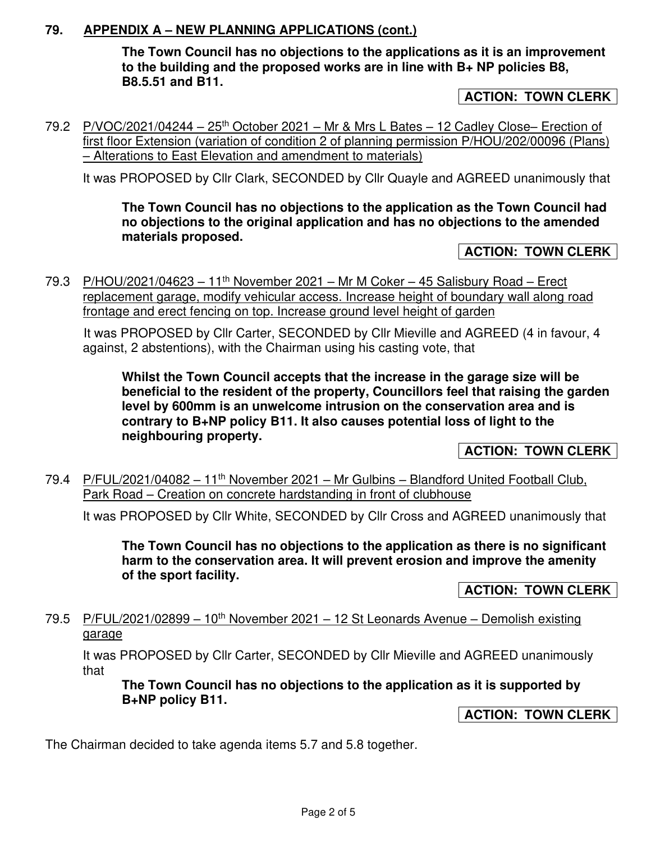### **79. APPENDIX A – NEW PLANNING APPLICATIONS (cont.)**

**The Town Council has no objections to the applications as it is an improvement to the building and the proposed works are in line with B+ NP policies B8, B8.5.51 and B11.** 

**ACTION: TOWN CLERK** 

79.2 P/VOC/2021/04244 – 25<sup>th</sup> October 2021 – Mr & Mrs L Bates – 12 Cadley Close– Erection of first floor Extension (variation of condition 2 of planning permission P/HOU/202/00096 (Plans) – Alterations to East Elevation and amendment to materials)

It was PROPOSED by Cllr Clark, SECONDED by Cllr Quayle and AGREED unanimously that

**The Town Council has no objections to the application as the Town Council had no objections to the original application and has no objections to the amended materials proposed.** 

#### **ACTION: TOWN CLERK**

79.3 P/HOU/2021/04623 – 11<sup>th</sup> November 2021 – Mr M Coker – 45 Salisbury Road – Erect replacement garage, modify vehicular access. Increase height of boundary wall along road frontage and erect fencing on top. Increase ground level height of garden

 It was PROPOSED by Cllr Carter, SECONDED by Cllr Mieville and AGREED (4 in favour, 4 against, 2 abstentions), with the Chairman using his casting vote, that

**Whilst the Town Council accepts that the increase in the garage size will be beneficial to the resident of the property, Councillors feel that raising the garden level by 600mm is an unwelcome intrusion on the conservation area and is contrary to B+NP policy B11. It also causes potential loss of light to the neighbouring property.** 

**ACTION: TOWN CLERK** 

79.4 P/FUL/2021/04082 – 11th November 2021 – Mr Gulbins – Blandford United Football Club, Park Road – Creation on concrete hardstanding in front of clubhouse

It was PROPOSED by Cllr White, SECONDED by Cllr Cross and AGREED unanimously that

**The Town Council has no objections to the application as there is no significant harm to the conservation area. It will prevent erosion and improve the amenity of the sport facility.** 

**ACTION: TOWN CLERK** 

79.5 P/FUL/2021/02899 – 10<sup>th</sup> November 2021 – 12 St Leonards Avenue – Demolish existing garage

It was PROPOSED by Cllr Carter, SECONDED by Cllr Mieville and AGREED unanimously that

**The Town Council has no objections to the application as it is supported by B+NP policy B11.** 

**ACTION: TOWN CLERK** 

The Chairman decided to take agenda items 5.7 and 5.8 together.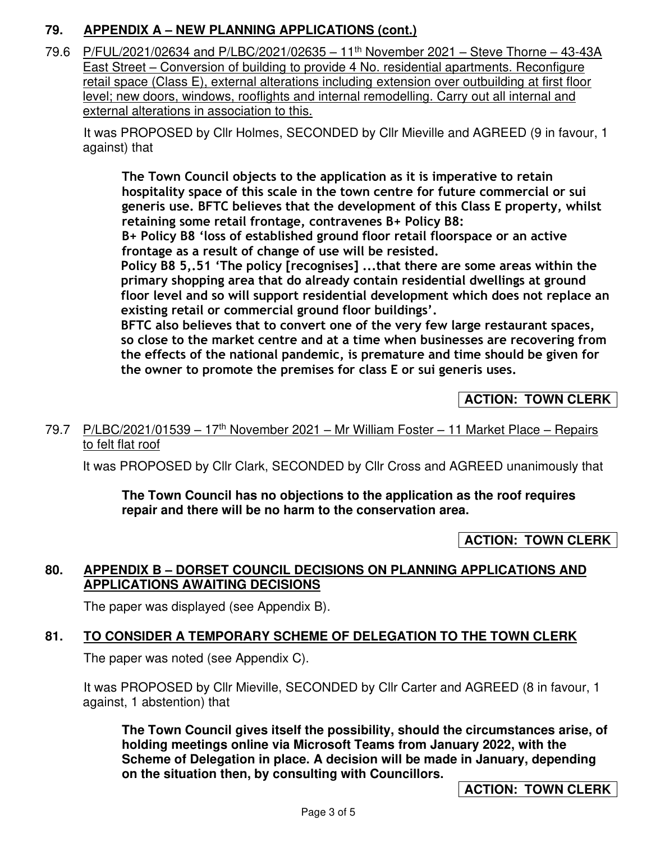# **79. APPENDIX A – NEW PLANNING APPLICATIONS (cont.)**

79.6 P/FUL/2021/02634 and P/LBC/2021/02635 – 11th November 2021 – Steve Thorne – 43-43A East Street – Conversion of building to provide 4 No. residential apartments. Reconfigure retail space (Class E), external alterations including extension over outbuilding at first floor level; new doors, windows, rooflights and internal remodelling. Carry out all internal and external alterations in association to this.

 It was PROPOSED by Cllr Holmes, SECONDED by Cllr Mieville and AGREED (9 in favour, 1 against) that

**The Town Council objects to the application as it is imperative to retain hospitality space of this scale in the town centre for future commercial or sui generis use. BFTC believes that the development of this Class E property, whilst retaining some retail frontage, contravenes B+ Policy B8:**

**B+ Policy B8 'loss of established ground floor retail floorspace or an active frontage as a result of change of use will be resisted.** 

**Policy B8 5,.51 'The policy [recognises] ...that there are some areas within the primary shopping area that do already contain residential dwellings at ground floor level and so will support residential development which does not replace an existing retail or commercial ground floor buildings'.** 

**BFTC also believes that to convert one of the very few large restaurant spaces, so close to the market centre and at a time when businesses are recovering from the effects of the national pandemic, is premature and time should be given for the owner to promote the premises for class E or sui generis uses.** 

# **ACTION: TOWN CLERK**

#### 79.7 P/LBC/2021/01539 – 17<sup>th</sup> November 2021 – Mr William Foster – 11 Market Place – Repairs to felt flat roof

It was PROPOSED by Cllr Clark, SECONDED by Cllr Cross and AGREED unanimously that

**The Town Council has no objections to the application as the roof requires repair and there will be no harm to the conservation area.** 

### **ACTION: TOWN CLERK**

### **80. APPENDIX B – DORSET COUNCIL DECISIONS ON PLANNING APPLICATIONS AND APPLICATIONS AWAITING DECISIONS**

The paper was displayed (see Appendix B).

# **81. TO CONSIDER A TEMPORARY SCHEME OF DELEGATION TO THE TOWN CLERK**

The paper was noted (see Appendix C).

It was PROPOSED by Cllr Mieville, SECONDED by Cllr Carter and AGREED (8 in favour, 1 against, 1 abstention) that

**The Town Council gives itself the possibility, should the circumstances arise, of holding meetings online via Microsoft Teams from January 2022, with the Scheme of Delegation in place. A decision will be made in January, depending on the situation then, by consulting with Councillors.** 

**ACTION: TOWN CLERK**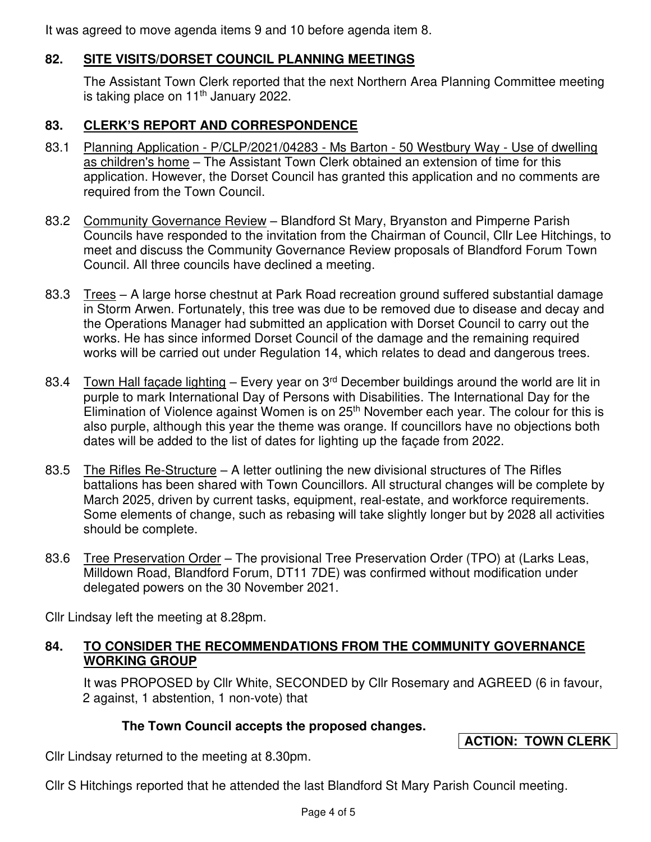It was agreed to move agenda items 9 and 10 before agenda item 8.

# **82. SITE VISITS/DORSET COUNCIL PLANNING MEETINGS**

The Assistant Town Clerk reported that the next Northern Area Planning Committee meeting is taking place on 11<sup>th</sup> January 2022.

# **83. CLERK'S REPORT AND CORRESPONDENCE**

- 83.1 Planning Application P/CLP/2021/04283 Ms Barton 50 Westbury Way Use of dwelling as children's home – The Assistant Town Clerk obtained an extension of time for this application. However, the Dorset Council has granted this application and no comments are required from the Town Council.
- 83.2 Community Governance Review Blandford St Mary, Bryanston and Pimperne Parish Councils have responded to the invitation from the Chairman of Council, Cllr Lee Hitchings, to meet and discuss the Community Governance Review proposals of Blandford Forum Town Council. All three councils have declined a meeting.
- 83.3 Trees A large horse chestnut at Park Road recreation ground suffered substantial damage in Storm Arwen. Fortunately, this tree was due to be removed due to disease and decay and the Operations Manager had submitted an application with Dorset Council to carry out the works. He has since informed Dorset Council of the damage and the remaining required works will be carried out under Regulation 14, which relates to dead and dangerous trees.
- 83.4 Town Hall façade lighting Every year on 3<sup>rd</sup> December buildings around the world are lit in purple to mark International Day of Persons with Disabilities. The International Day for the Elimination of Violence against Women is on  $25<sup>th</sup>$  November each year. The colour for this is also purple, although this year the theme was orange. If councillors have no objections both dates will be added to the list of dates for lighting up the façade from 2022.
- 83.5 The Rifles Re-Structure A letter outlining the new divisional structures of The Rifles battalions has been shared with Town Councillors. All structural changes will be complete by March 2025, driven by current tasks, equipment, real-estate, and workforce requirements. Some elements of change, such as rebasing will take slightly longer but by 2028 all activities should be complete.
- 83.6 Tree Preservation Order The provisional Tree Preservation Order (TPO) at (Larks Leas, Milldown Road, Blandford Forum, DT11 7DE) was confirmed without modification under delegated powers on the 30 November 2021.

Cllr Lindsay left the meeting at 8.28pm.

### **84. TO CONSIDER THE RECOMMENDATIONS FROM THE COMMUNITY GOVERNANCE WORKING GROUP**

It was PROPOSED by Cllr White, SECONDED by Cllr Rosemary and AGREED (6 in favour, 2 against, 1 abstention, 1 non-vote) that

# **The Town Council accepts the proposed changes.**

# **ACTION: TOWN CLERK**

Cllr Lindsay returned to the meeting at 8.30pm.

Cllr S Hitchings reported that he attended the last Blandford St Mary Parish Council meeting.